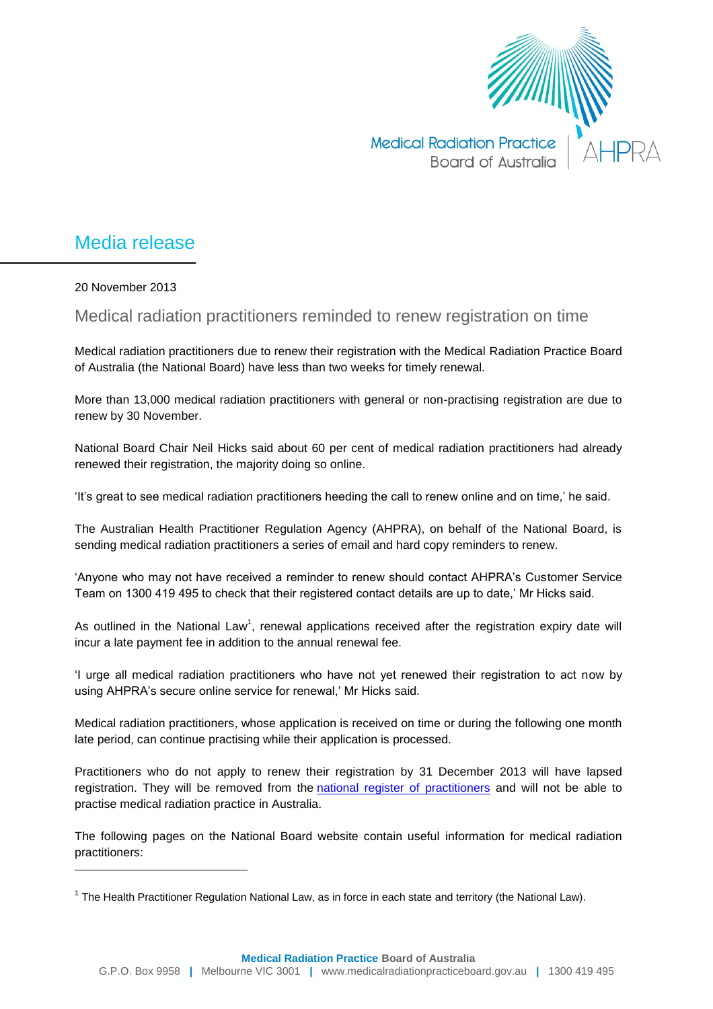

## Media release

20 November 2013

 $\overline{a}$ 

Medical radiation practitioners reminded to renew registration on time

Medical radiation practitioners due to renew their registration with the Medical Radiation Practice Board of Australia (the National Board) have less than two weeks for timely renewal.

More than 13,000 medical radiation practitioners with general or non-practising registration are due to renew by 30 November.

National Board Chair Neil Hicks said about 60 per cent of medical radiation practitioners had already renewed their registration, the majority doing so online.

'It's great to see medical radiation practitioners heeding the call to renew online and on time,' he said.

The Australian Health Practitioner Regulation Agency (AHPRA), on behalf of the National Board, is sending medical radiation practitioners a series of email and hard copy reminders to renew.

'Anyone who may not have received a reminder to renew should contact AHPRA's Customer Service Team on 1300 419 495 to check that their registered contact details are up to date,' Mr Hicks said.

As outlined in the National Law<sup>1</sup>, renewal applications received after the registration expiry date will incur a late payment fee in addition to the annual renewal fee.

'I urge all medical radiation practitioners who have not yet renewed their registration to act now by using AHPRA's secure online service for renewal,' Mr Hicks said.

Medical radiation practitioners, whose application is received on time or during the following one month late period, can continue practising while their application is processed.

Practitioners who do not apply to renew their registration by 31 December 2013 will have lapsed registration. They will be removed from the [national register of practitioners](http://www.ahpra.gov.au/Registration/Registers-of-Practitioners.aspx) and will not be able to practise medical radiation practice in Australia.

The following pages on the National Board website contain useful information for medical radiation practitioners:

<sup>&</sup>lt;sup>1</sup> The Health Practitioner Regulation National Law, as in force in each state and territory (the National Law).